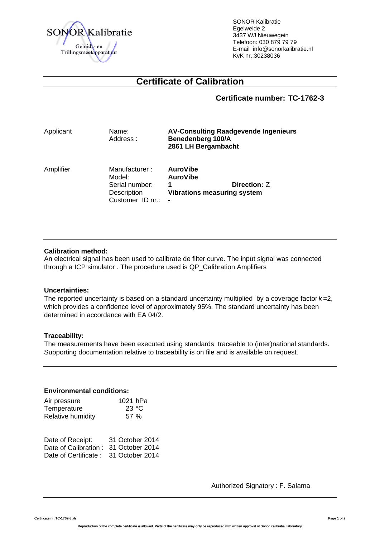

SONOR Kalibratie Egelweide 2 3437 WJ Nieuwegein Telefoon: 030 879 79 79 E-mail info@sonorkalibratie.nl KvK nr.:30238036

# **Certificate of Calibration**

**Certificate number: TC-1762-3**

| Applicant | Name:<br>Address:                                                            | <b>AV-Consulting Raadgevende Ingenieurs</b><br>Benedenberg 100/A<br>2861 LH Bergambacht         |  |  |
|-----------|------------------------------------------------------------------------------|-------------------------------------------------------------------------------------------------|--|--|
| Amplifier | Manufacturer:<br>Model:<br>Serial number:<br>Description<br>Customer ID nr.: | <b>AuroVibe</b><br><b>AuroVibe</b><br><b>Direction: Z</b><br><b>Vibrations measuring system</b> |  |  |

#### **Calibration method:**

An electrical signal has been used to calibrate de filter curve. The input signal was connected through a ICP simulator . The procedure used is QP\_Calibration Amplifiers

#### **Uncertainties:**

The reported uncertainty is based on a standard uncertainty multiplied by a coverage factor *k* =2, which provides a confidence level of approximately 95%. The standard uncertainty has been determined in accordance with EA 04/2.

#### **Traceability:**

The measurements have been executed using standards traceable to (inter)national standards. Supporting documentation relative to traceability is on file and is available on request.

#### **Environmental conditions:**

| Air pressure      | 1021 hPa |
|-------------------|----------|
| Temperature       | 23 °C    |
| Relative humidity | 57 %     |

| Date of Receipt:                      | 31 October 2014 |
|---------------------------------------|-----------------|
| Date of Calibration : 31 October 2014 |                 |
| Date of Certificate: 31 October 2014  |                 |

Authorized Signatory : F. Salama